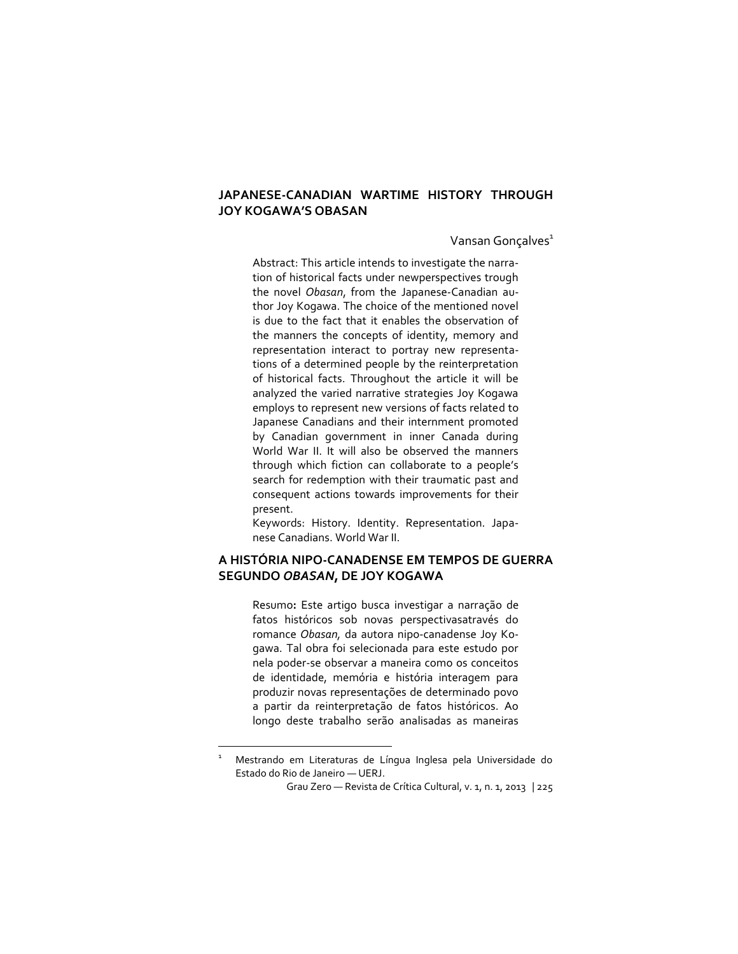#### **JAPANESECANADIAN WARTIME HISTORY THROUGH JOY KOGAWA'S OBASAN**

Vansan Gonçalves<sup>1</sup>

Abstract: This article intends to investigate the narration of historical facts under newperspectives trough the novel *Obasan*, from the Japanese-Canadian author Joy Kogawa. The choice of the mentioned novel is due to the fact that it enables the observation of the manners the concepts of identity, memory and representation interact to portray new representations of a determined people by the reinterpretation of historical facts. Throughout the article it will be analyzed the varied narrative strategies Joy Kogawa employs to represent new versions of facts related to Japanese Canadians and their internment promoted by Canadian government in inner Canada during World War II. It will also be observed the manners through which fiction can collaborate to a people's search for redemption with their traumatic past and consequent actions towards improvements for their present.

Keywords: History. Identity. Representation. Japanese Canadians. World War II.

#### **A HISTÓRIA NIPOCANADENSE EM TEMPOS DE GUERRA SEGUNDO** *OBASAN***, DE JOY KOGAWA**

Resumo**:** Este artigo busca investigar a narração de fatos históricos sob novas perspectivasatravés do romance Obasan, da autora nipo-canadense Joy Kogawa. Tal obra foi selecionada para este estudo por nela poder-se observar a maneira como os conceitos de identidade, memória e história interagem para produzir novas representações de determinado povo a partir da reinterpretação de fatos históricos. Ao longo deste trabalho serão analisadas as maneiras

 $\overline{\phantom{a}}$ 

<sup>1</sup> Mestrando em Literaturas de Língua Inglesa pela Universidade do Estado do Rio de Janeiro — UERJ.

Grau Zero — Revista de Crítica Cultural, v. 1, n. 1, 2013 | 225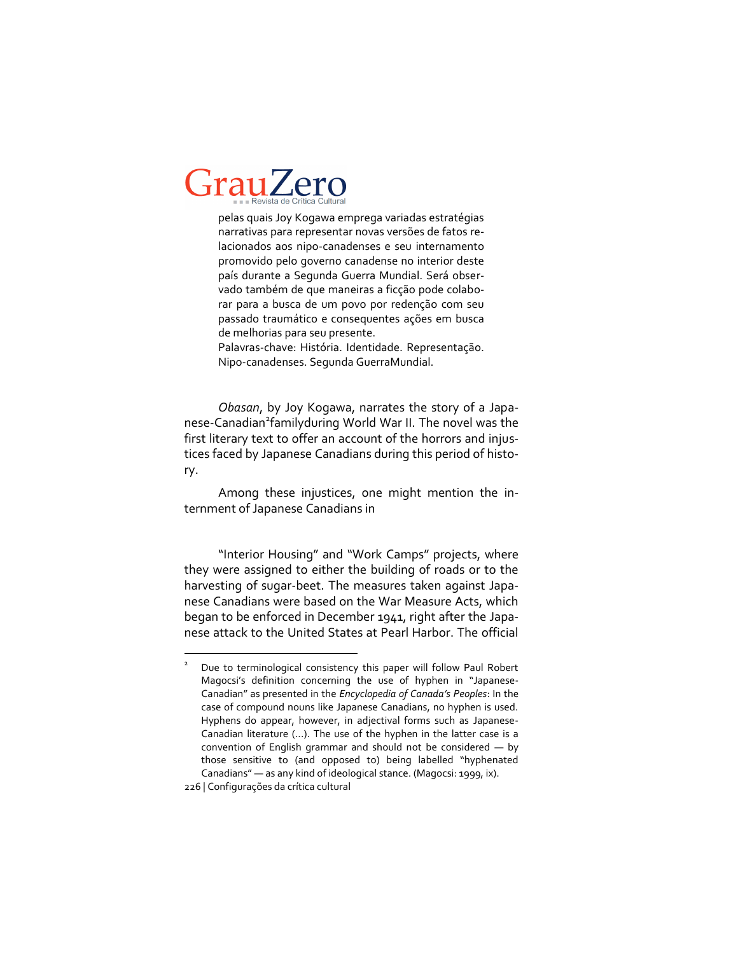pelas quais Joy Kogawa emprega variadas estratégias narrativas para representar novas versões de fatos relacionados aos nipo-canadenses e seu internamento promovido pelo governo canadense no interior deste país durante a Segunda Guerra Mundial. Será observado também de que maneiras a ficção pode colaborar para a busca de um povo por redenção com seu passado traumático e consequentes ações em busca de melhorias para seu presente.

Palavras-chave: História. Identidade. Representação. Nipocanadenses. Segunda GuerraMundial.

*Obasan*, by Joy Kogawa, narrates the story of a Japanese-Canadian<sup>2</sup>familyduring World War II. The novel was the first literary text to offer an account of the horrors and injustices faced by Japanese Canadians during this period of history.

Among these injustices, one might mention the internment of Japanese Canadians in

"Interior Housing" and "Work Camps" projects, where they were assigned to either the building of roads or to the harvesting of sugar-beet. The measures taken against Japanese Canadians were based on the War Measure Acts, which began to be enforced in December 1941, right after the Japanese attack to the United States at Pearl Harbor. The official

 $\overline{a}$ 

<sup>2</sup> Due to terminological consistency this paper will follow Paul Robert Magocsi's definition concerning the use of hyphen in "Japanese-Canadian" as presented in the *Encyclopedia of Canada's Peoples*: In the case of compound nouns like Japanese Canadians, no hyphen is used. Hyphens do appear, however, in adjectival forms such as Japanese-Canadian literature (...). The use of the hyphen in the latter case is a convention of English grammar and should not be considered — by those sensitive to (and opposed to) being labelled "hyphenated Canadians" — as any kind of ideological stance. (Magocsi: 1999, ix).

<sup>226 |</sup> Configurações da crítica cultural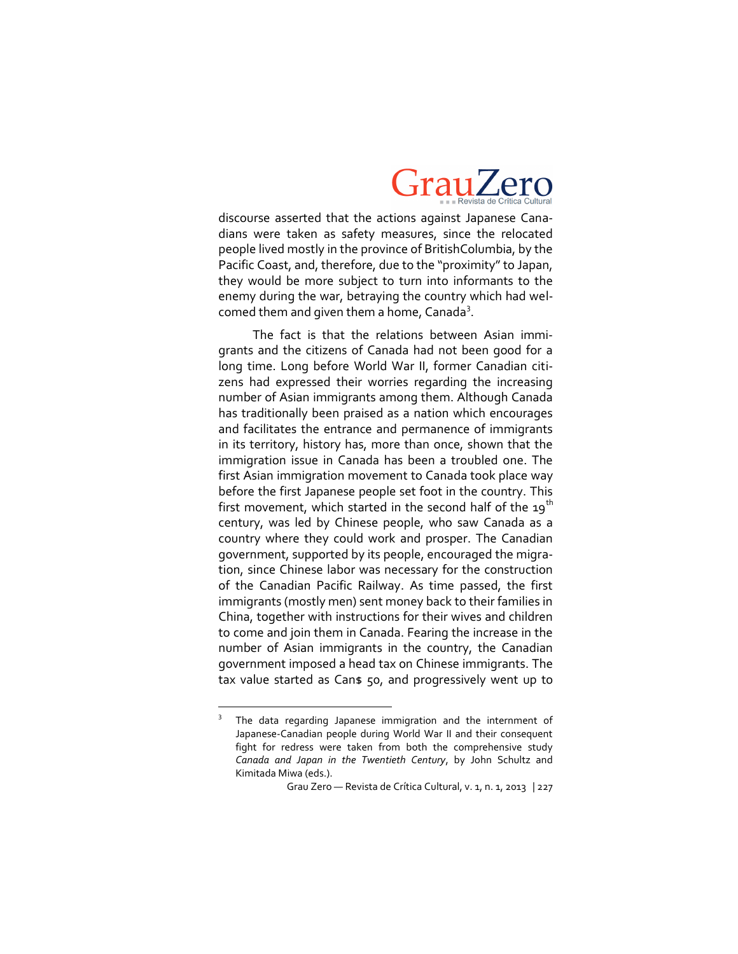

discourse asserted that the actions against Japanese Canadians were taken as safety measures, since the relocated people lived mostly in the province of BritishColumbia, by the Pacific Coast, and, therefore, due to the "proximity" to Japan, they would be more subject to turn into informants to the enemy during the war, betraying the country which had welcomed them and given them a home, Canada<sup>3</sup>.

The fact is that the relations between Asian immigrants and the citizens of Canada had not been good for a long time. Long before World War II, former Canadian citizens had expressed their worries regarding the increasing number of Asian immigrants among them. Although Canada has traditionally been praised as a nation which encourages and facilitates the entrance and permanence of immigrants in its territory, history has, more than once, shown that the immigration issue in Canada has been a troubled one. The first Asian immigration movement to Canada took place way before the first Japanese people set foot in the country. This first movement, which started in the second half of the  $19<sup>th</sup>$ century, was led by Chinese people, who saw Canada as a country where they could work and prosper. The Canadian government, supported by its people, encouraged the migration, since Chinese labor was necessary for the construction of the Canadian Pacific Railway. As time passed, the first immigrants (mostly men) sent money back to their families in China, together with instructions for their wives and children to come and join them in Canada. Fearing the increase in the number of Asian immigrants in the country, the Canadian government imposed a head tax on Chinese immigrants. The tax value started as Cans 50, and progressively went up to

 $\overline{\phantom{a}}$ 

<sup>3</sup> The data regarding Japanese immigration and the internment of Japanese-Canadian people during World War II and their consequent fight for redress were taken from both the comprehensive study *Canada and Japan in the Twentieth Century*, by John Schultz and Kimitada Miwa (eds.).

Grau Zero — Revista de Crítica Cultural, v. 1, n. 1, 2013 | 227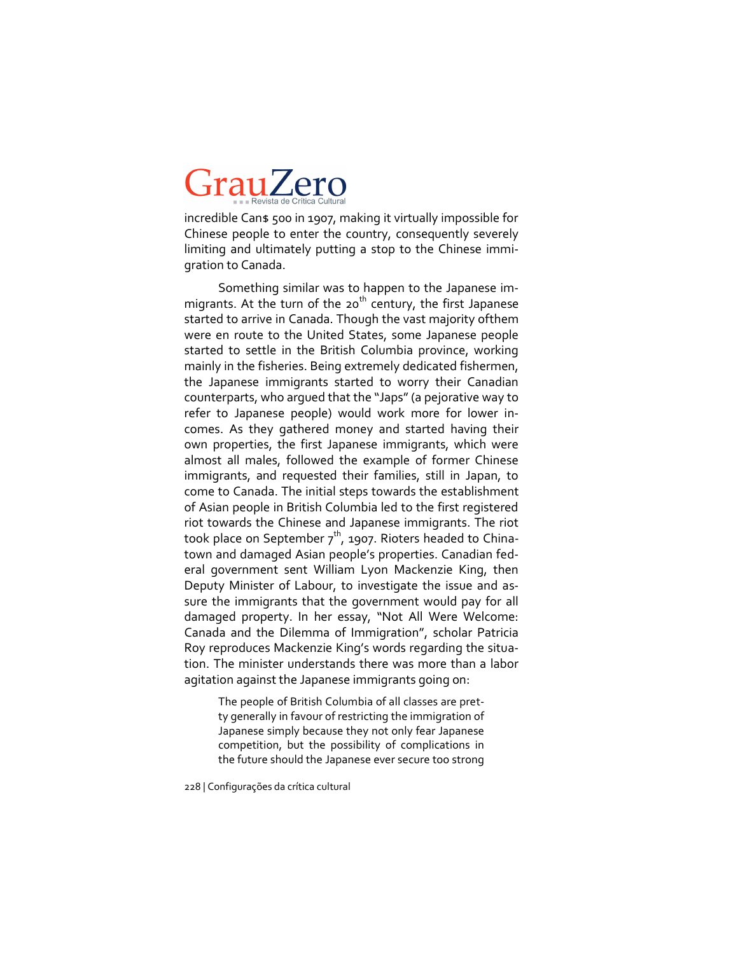incredible Can\$ 500 in 1907, making it virtually impossible for Chinese people to enter the country, consequently severely limiting and ultimately putting a stop to the Chinese immigration to Canada.

Something similar was to happen to the Japanese immigrants. At the turn of the 20<sup>th</sup> century, the first Japanese started to arrive in Canada. Though the vast majority ofthem were en route to the United States, some Japanese people started to settle in the British Columbia province, working mainly in the fisheries. Being extremely dedicated fishermen, the Japanese immigrants started to worry their Canadian counterparts, who argued that the "Japs" (a pejorative way to refer to Japanese people) would work more for lower incomes. As they gathered money and started having their own properties, the first Japanese immigrants, which were almost all males, followed the example of former Chinese immigrants, and requested their families, still in Japan, to come to Canada. The initial steps towards the establishment of Asian people in British Columbia led to the first registered riot towards the Chinese and Japanese immigrants. The riot took place on September  $7<sup>th</sup>$ , 1907. Rioters headed to Chinatown and damaged Asian people's properties. Canadian federal government sent William Lyon Mackenzie King, then Deputy Minister of Labour, to investigate the issue and assure the immigrants that the government would pay for all damaged property. In her essay, "Not All Were Welcome: Canada and the Dilemma of Immigration", scholar Patricia Roy reproduces Mackenzie King's words regarding the situation. The minister understands there was more than a labor agitation against the Japanese immigrants going on:

> The people of British Columbia of all classes are pretty generally in favour of restricting the immigration of Japanese simply because they not only fear Japanese competition, but the possibility of complications in the future should the Japanese ever secure too strong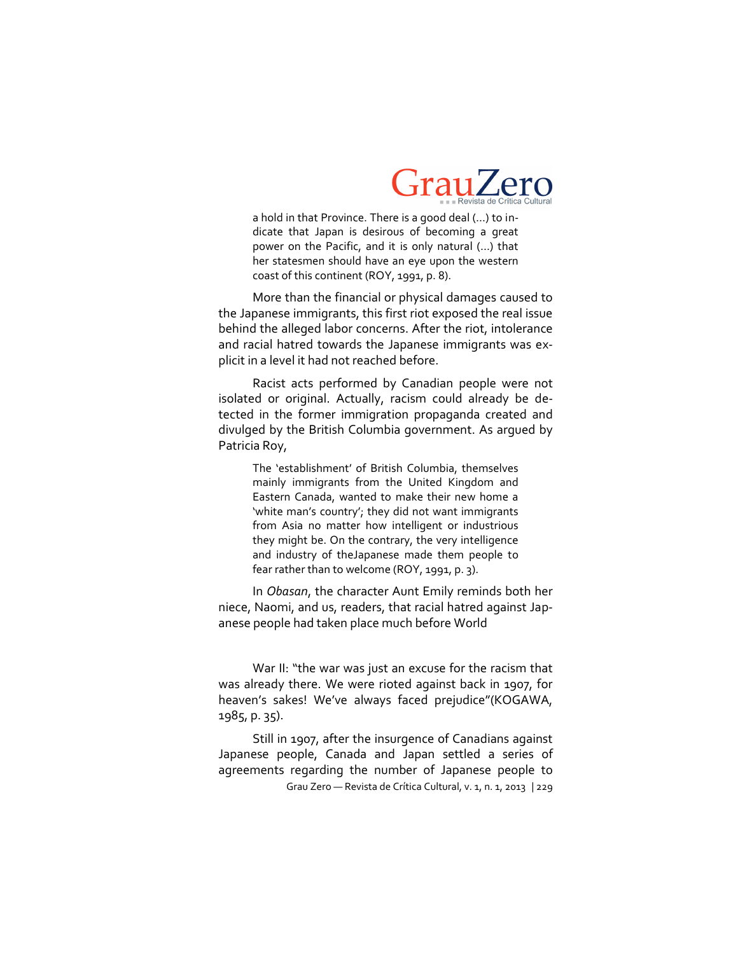

a hold in that Province. There is a good deal (…) to indicate that Japan is desirous of becoming a great power on the Pacific, and it is only natural (…) that her statesmen should have an eye upon the western coast of this continent (ROY, 1991, p. 8).

More than the financial or physical damages caused to the Japanese immigrants, this first riot exposed the real issue behind the alleged labor concerns. After the riot, intolerance and racial hatred towards the Japanese immigrants was explicit in a level it had not reached before.

Racist acts performed by Canadian people were not isolated or original. Actually, racism could already be detected in the former immigration propaganda created and divulged by the British Columbia government. As argued by Patricia Roy,

The 'establishment' of British Columbia, themselves mainly immigrants from the United Kingdom and Eastern Canada, wanted to make their new home a 'white man's country'; they did not want immigrants from Asia no matter how intelligent or industrious they might be. On the contrary, the very intelligence and industry of theJapanese made them people to fear rather than to welcome (ROY, 1991, p. 3).

In *Obasan*, the character Aunt Emily reminds both her niece, Naomi, and us, readers, that racial hatred against Japanese people had taken place much before World

War II: "the war was just an excuse for the racism that was already there. We were rioted against back in 1907, for heaven's sakes! We've always faced prejudice"(KOGAWA, 1985, p. 35).

Grau Zero — Revista de Crítica Cultural, v. 1, n. 1, 2013 | 229 Still in 1907, after the insurgence of Canadians against Japanese people, Canada and Japan settled a series of agreements regarding the number of Japanese people to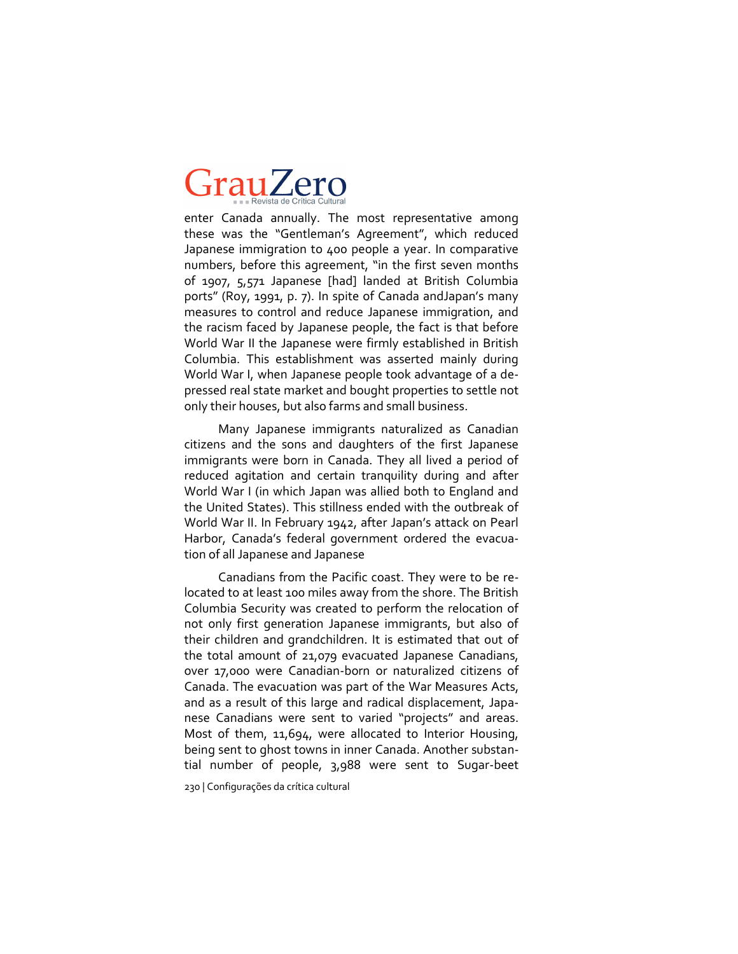enter Canada annually. The most representative among these was the "Gentleman's Agreement", which reduced Japanese immigration to 400 people a year. In comparative numbers, before this agreement, "in the first seven months of 1907, 5,571 Japanese [had] landed at British Columbia ports" (Roy, 1991, p. 7). In spite of Canada andJapan's many measures to control and reduce Japanese immigration, and the racism faced by Japanese people, the fact is that before World War II the Japanese were firmly established in British Columbia. This establishment was asserted mainly during World War I, when Japanese people took advantage of a depressed real state market and bought properties to settle not only their houses, but also farms and small business.

Many Japanese immigrants naturalized as Canadian citizens and the sons and daughters of the first Japanese immigrants were born in Canada. They all lived a period of reduced agitation and certain tranquility during and after World War I (in which Japan was allied both to England and the United States). This stillness ended with the outbreak of World War II. In February 1942, after Japan's attack on Pearl Harbor, Canada's federal government ordered the evacuation of all Japanese and Japanese

Canadians from the Pacific coast. They were to be relocated to at least 100 miles away from the shore. The British Columbia Security was created to perform the relocation of not only first generation Japanese immigrants, but also of their children and grandchildren. It is estimated that out of the total amount of 21,079 evacuated Japanese Canadians, over 17,000 were Canadian-born or naturalized citizens of Canada. The evacuation was part of the War Measures Acts, and as a result of this large and radical displacement, Japanese Canadians were sent to varied "projects" and areas. Most of them, 11,694, were allocated to Interior Housing, being sent to ghost towns in inner Canada. Another substantial number of people, 3,988 were sent to Sugar-beet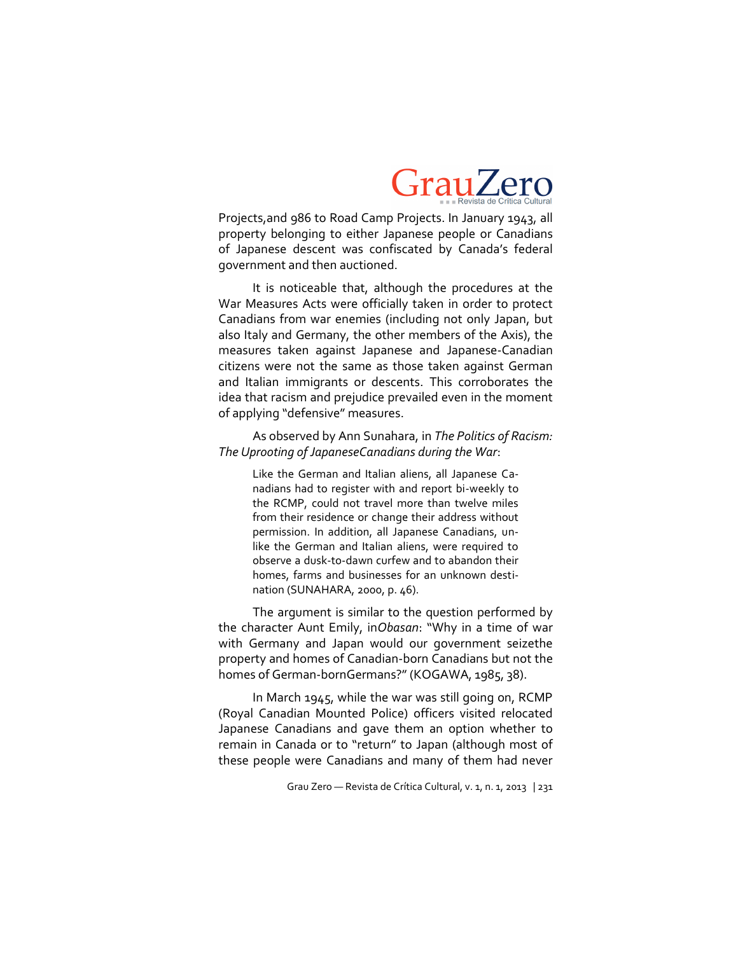

Projects,and 986 to Road Camp Projects. In January 1943, all property belonging to either Japanese people or Canadians of Japanese descent was confiscated by Canada's federal government and then auctioned.

It is noticeable that, although the procedures at the War Measures Acts were officially taken in order to protect Canadians from war enemies (including not only Japan, but also Italy and Germany, the other members of the Axis), the measures taken against Japanese and Japanese-Canadian citizens were not the same as those taken against German and Italian immigrants or descents. This corroborates the idea that racism and prejudice prevailed even in the moment of applying "defensive" measures.

#### As observed by Ann Sunahara, in *The Politics of Racism: The Uprooting of JapaneseCanadians during the War*:

Like the German and Italian aliens, all Japanese Canadians had to register with and report bi-weekly to the RCMP, could not travel more than twelve miles from their residence or change their address without permission. In addition, all Japanese Canadians, unlike the German and Italian aliens, were required to observe a dusk-to-dawn curfew and to abandon their homes, farms and businesses for an unknown destination (SUNAHARA, 2000, p. 46).

The argument is similar to the question performed by the character Aunt Emily, in*Obasan*: "Why in a time of war with Germany and Japan would our government seizethe property and homes of Canadian-born Canadians but not the homes of German-bornGermans?" (KOGAWA, 1985, 38).

In March 1945, while the war was still going on, RCMP (Royal Canadian Mounted Police) officers visited relocated Japanese Canadians and gave them an option whether to remain in Canada or to "return" to Japan (although most of these people were Canadians and many of them had never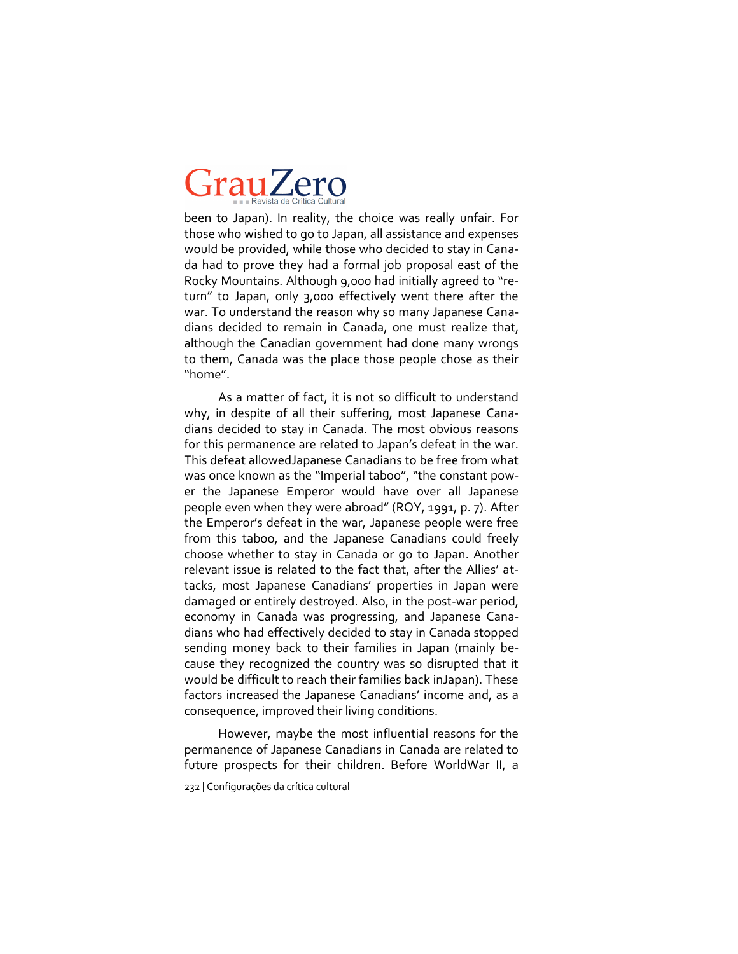been to Japan). In reality, the choice was really unfair. For those who wished to go to Japan, all assistance and expenses would be provided, while those who decided to stay in Canada had to prove they had a formal job proposal east of the Rocky Mountains. Although 9,000 had initially agreed to "return" to Japan, only 3,000 effectively went there after the war. To understand the reason why so many Japanese Canadians decided to remain in Canada, one must realize that, although the Canadian government had done many wrongs to them, Canada was the place those people chose as their "home".

As a matter of fact, it is not so difficult to understand why, in despite of all their suffering, most Japanese Canadians decided to stay in Canada. The most obvious reasons for this permanence are related to Japan's defeat in the war. This defeat allowedJapanese Canadians to be free from what was once known as the "Imperial taboo", "the constant power the Japanese Emperor would have over all Japanese people even when they were abroad" (ROY, 1991, p. 7). After the Emperor's defeat in the war, Japanese people were free from this taboo, and the Japanese Canadians could freely choose whether to stay in Canada or go to Japan. Another relevant issue is related to the fact that, after the Allies' attacks, most Japanese Canadians' properties in Japan were damaged or entirely destroyed. Also, in the post-war period, economy in Canada was progressing, and Japanese Canadians who had effectively decided to stay in Canada stopped sending money back to their families in Japan (mainly because they recognized the country was so disrupted that it would be difficult to reach their families back inJapan). These factors increased the Japanese Canadians' income and, as a consequence, improved their living conditions.

However, maybe the most influential reasons for the permanence of Japanese Canadians in Canada are related to future prospects for their children. Before WorldWar II, a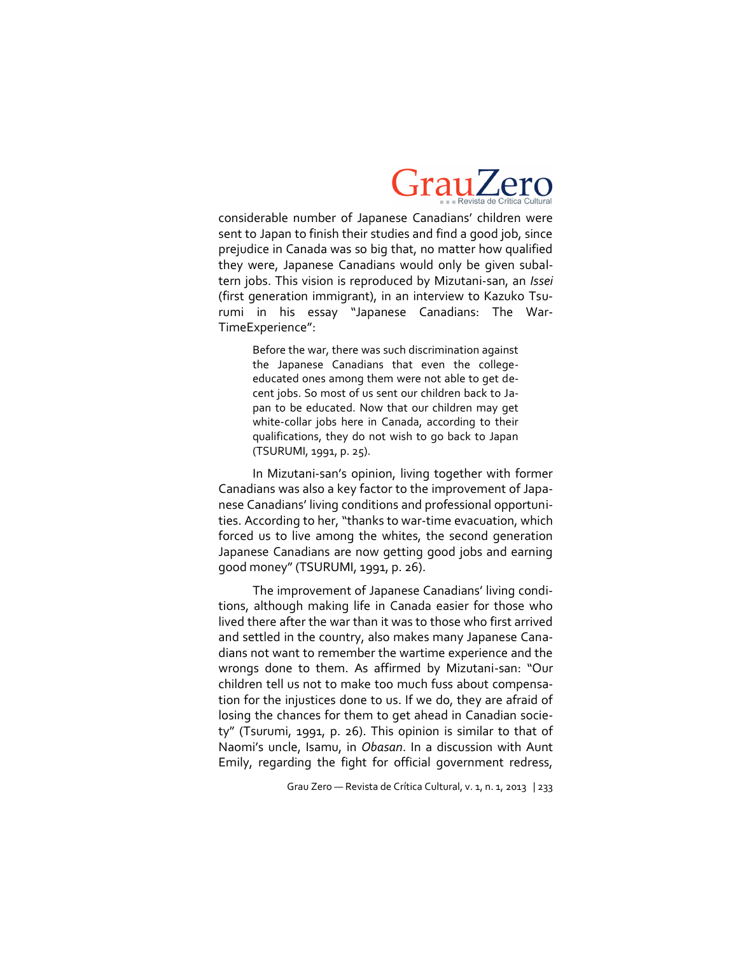

considerable number of Japanese Canadians' children were sent to Japan to finish their studies and find a good job, since prejudice in Canada was so big that, no matter how qualified they were, Japanese Canadians would only be given subaltern jobs. This vision is reproduced by Mizutani-san, an *Issei* (first generation immigrant), in an interview to Kazuko Tsurumi in his essay "Japanese Canadians: The War-TimeExperience":

Before the war, there was such discrimination against the Japanese Canadians that even the collegeeducated ones among them were not able to get decent jobs. So most of us sent our children back to Japan to be educated. Now that our children may get white-collar jobs here in Canada, according to their qualifications, they do not wish to go back to Japan (TSURUMI, 1991, p. 25).

In Mizutani-san's opinion, living together with former Canadians was also a key factor to the improvement of Japanese Canadians' living conditions and professional opportunities. According to her, "thanks to war-time evacuation, which forced us to live among the whites, the second generation Japanese Canadians are now getting good jobs and earning good money" (TSURUMI, 1991, p. 26).

The improvement of Japanese Canadians' living conditions, although making life in Canada easier for those who lived there after the war than it was to those who first arrived and settled in the country, also makes many Japanese Canadians not want to remember the wartime experience and the wrongs done to them. As affirmed by Mizutani-san: "Our children tell us not to make too much fuss about compensation for the injustices done to us. If we do, they are afraid of losing the chances for them to get ahead in Canadian society" (Tsurumi, 1991, p. 26). This opinion is similar to that of Naomi's uncle, Isamu, in *Obasan*. In a discussion with Aunt Emily, regarding the fight for official government redress,

Grau Zero — Revista de Crítica Cultural, v. 1, n. 1, 2013 | 233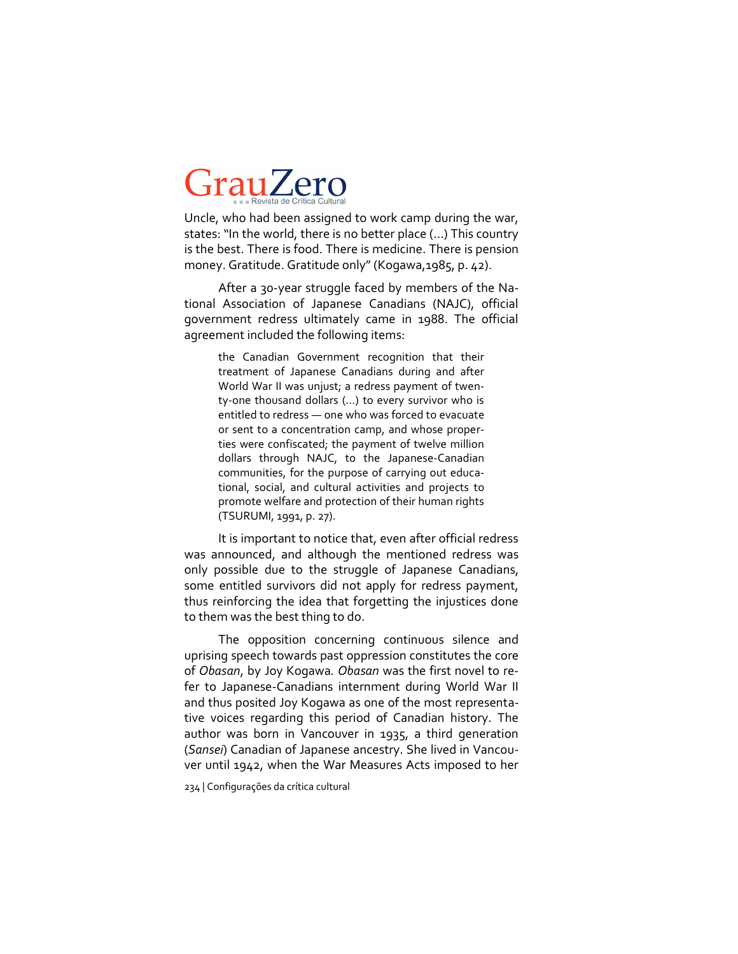Uncle, who had been assigned to work camp during the war, states: "In the world, there is no better place (…) This country is the best. There is food. There is medicine. There is pension money. Gratitude. Gratitude only" (Kogawa,1985, p. 42).

After a 30-year struggle faced by members of the National Association of Japanese Canadians (NAJC), official government redress ultimately came in 1988. The official agreement included the following items:

the Canadian Government recognition that their treatment of Japanese Canadians during and after World War II was unjust; a redress payment of twenty-one thousand dollars (...) to every survivor who is entitled to redress — one who was forced to evacuate or sent to a concentration camp, and whose properties were confiscated; the payment of twelve million dollars through NAJC, to the Japanese-Canadian communities, for the purpose of carrying out educational, social, and cultural activities and projects to promote welfare and protection of their human rights (TSURUMI, 1991, p. 27).

It is important to notice that, even after official redress was announced, and although the mentioned redress was only possible due to the struggle of Japanese Canadians, some entitled survivors did not apply for redress payment, thus reinforcing the idea that forgetting the injustices done to them was the best thing to do.

The opposition concerning continuous silence and uprising speech towards past oppression constitutes the core of *Obasan*, by Joy Kogawa*. Obasan* was the first novel to refer to Japanese-Canadians internment during World War II and thus posited Joy Kogawa as one of the most representative voices regarding this period of Canadian history. The author was born in Vancouver in 1935, a third generation (*Sansei*) Canadian of Japanese ancestry. She lived in Vancouver until 1942, when the War Measures Acts imposed to her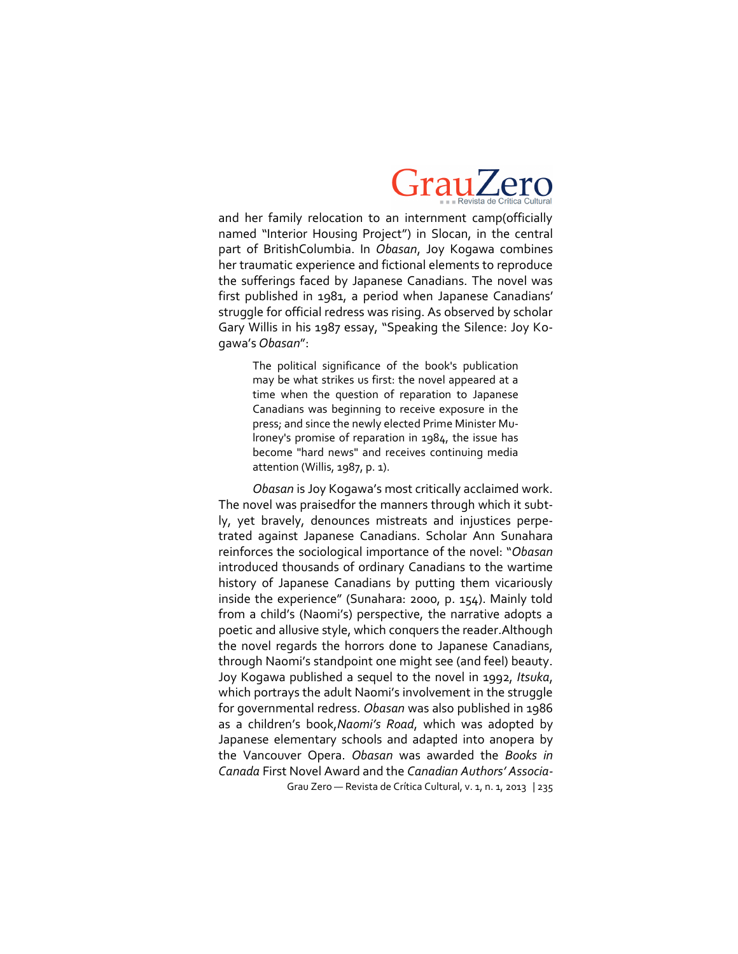

and her family relocation to an internment camp(officially named "Interior Housing Project") in Slocan, in the central part of BritishColumbia. In *Obasan*, Joy Kogawa combines her traumatic experience and fictional elements to reproduce the sufferings faced by Japanese Canadians. The novel was first published in 1981, a period when Japanese Canadians' struggle for official redress was rising. As observed by scholar Gary Willis in his 1987 essay, "Speaking the Silence: Joy Kogawa's *Obasan*":

> The political significance of the book's publication may be what strikes us first: the novel appeared at a time when the question of reparation to Japanese Canadians was beginning to receive exposure in the press; and since the newly elected Prime Minister Mulroney's promise of reparation in 1984, the issue has become "hard news" and receives continuing media attention (Willis, 1987, p. 1).

Grau Zero — Revista de Crítica Cultural, v. 1, n. 1, 2013 | 235 *Obasan* is Joy Kogawa's most critically acclaimed work. The novel was praisedfor the manners through which it subtly, yet bravely, denounces mistreats and injustices perpetrated against Japanese Canadians. Scholar Ann Sunahara reinforces the sociological importance of the novel: "*Obasan* introduced thousands of ordinary Canadians to the wartime history of Japanese Canadians by putting them vicariously inside the experience" (Sunahara: 2000, p. 154). Mainly told from a child's (Naomi's) perspective, the narrative adopts a poetic and allusive style, which conquers the reader.Although the novel regards the horrors done to Japanese Canadians, through Naomi's standpoint one might see (and feel) beauty. Joy Kogawa published a sequel to the novel in 1992, *Itsuka*, which portrays the adult Naomi's involvement in the struggle for governmental redress. *Obasan* was also published in 1986 as a children's book,*Naomi's Road*, which was adopted by Japanese elementary schools and adapted into anopera by the Vancouver Opera. *Obasan* was awarded the *Books in Canada* First Novel Award and the *Canadian Authors' Associa*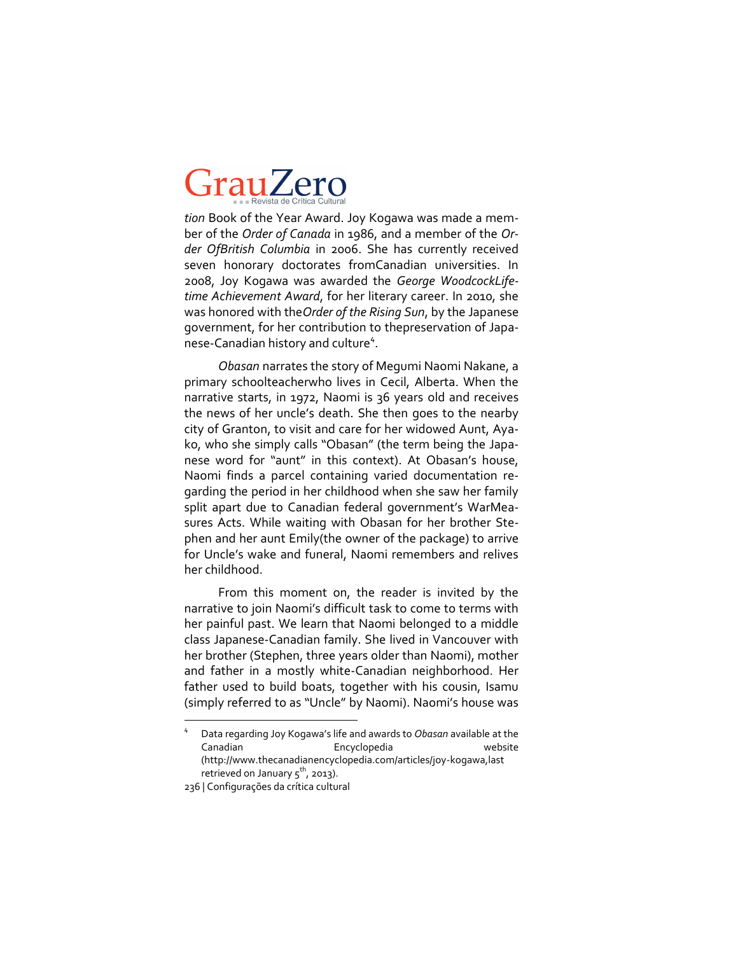*tion* Book of the Year Award. Joy Kogawa was made a member of the *Order of Canada* in 1986, and a member of the *Order OfBritish Columbia* in 2006. She has currently received seven honorary doctorates fromCanadian universities. In 2008, Joy Kogawa was awarded the *George WoodcockLifetime Achievement Award*, for her literary career. In 2010, she was honored with the*Order of the Rising Sun*, by the Japanese government, for her contribution to thepreservation of Japanese-Canadian history and culture<sup>4</sup>.

*Obasan* narrates the story of Megumi Naomi Nakane, a primary schoolteacherwho lives in Cecil, Alberta. When the narrative starts, in 1972, Naomi is 36 years old and receives the news of her uncle's death. She then goes to the nearby city of Granton, to visit and care for her widowed Aunt, Ayako, who she simply calls "Obasan" (the term being the Japanese word for "aunt" in this context). At Obasan's house, Naomi finds a parcel containing varied documentation regarding the period in her childhood when she saw her family split apart due to Canadian federal government's WarMeasures Acts. While waiting with Obasan for her brother Stephen and her aunt Emily(the owner of the package) to arrive for Uncle's wake and funeral, Naomi remembers and relives her childhood.

From this moment on, the reader is invited by the narrative to join Naomi's difficult task to come to terms with her painful past. We learn that Naomi belonged to a middle class Japanese-Canadian family. She lived in Vancouver with her brother (Stephen, three years older than Naomi), mother and father in a mostly white-Canadian neighborhood. Her father used to build boats, together with his cousin, Isamu (simply referred to as "Uncle" by Naomi). Naomi's house was

 $\overline{a}$ 

<sup>4</sup> Data regarding Joy Kogawa's life and awards to *Obasan* available at the Canadian Encyclopedia website (http://www.thecanadianencyclopedia.com/articles/joy-kogawa,last retrieved on January  $5^{th}$ , 2013).

<sup>236 |</sup> Configurações da crítica cultural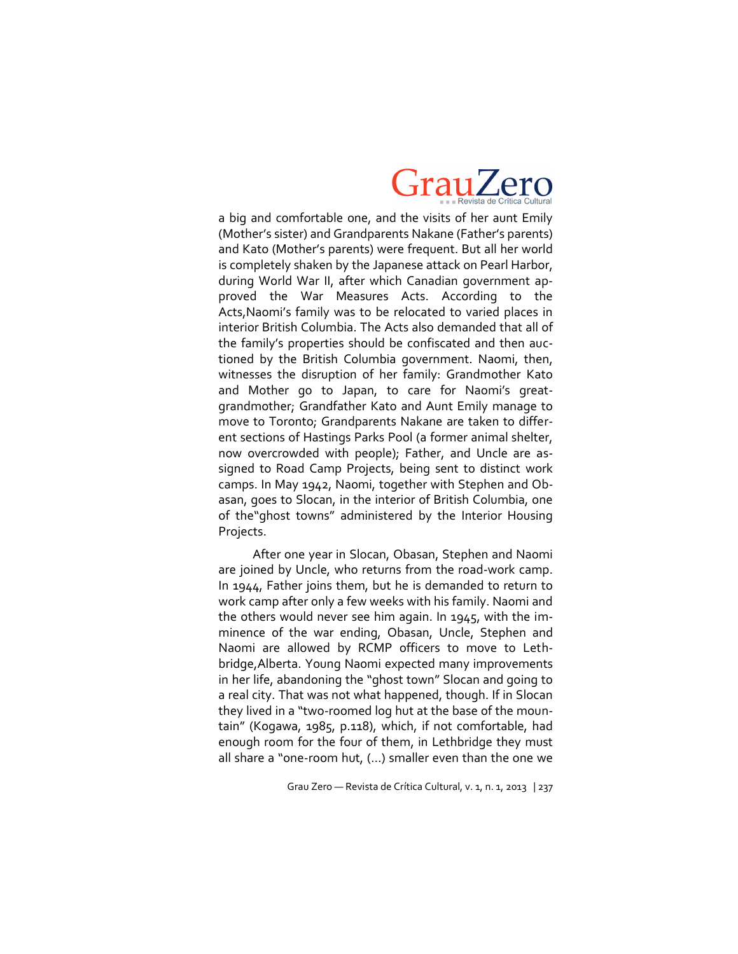

a big and comfortable one, and the visits of her aunt Emily (Mother's sister) and Grandparents Nakane (Father's parents) and Kato (Mother's parents) were frequent. But all her world is completely shaken by the Japanese attack on Pearl Harbor, during World War II, after which Canadian government approved the War Measures Acts. According to the Acts,Naomi's family was to be relocated to varied places in interior British Columbia. The Acts also demanded that all of the family's properties should be confiscated and then auctioned by the British Columbia government. Naomi, then, witnesses the disruption of her family: Grandmother Kato and Mother go to Japan, to care for Naomi's greatgrandmother; Grandfather Kato and Aunt Emily manage to move to Toronto; Grandparents Nakane are taken to different sections of Hastings Parks Pool (a former animal shelter, now overcrowded with people); Father, and Uncle are assigned to Road Camp Projects, being sent to distinct work camps. In May 1942, Naomi, together with Stephen and Obasan, goes to Slocan, in the interior of British Columbia, one of the"ghost towns" administered by the Interior Housing Projects.

After one year in Slocan, Obasan, Stephen and Naomi are joined by Uncle, who returns from the road-work camp. In 1944, Father joins them, but he is demanded to return to work camp after only a few weeks with his family. Naomi and the others would never see him again. In 1945, with the imminence of the war ending, Obasan, Uncle, Stephen and Naomi are allowed by RCMP officers to move to Lethbridge,Alberta. Young Naomi expected many improvements in her life, abandoning the "ghost town" Slocan and going to a real city. That was not what happened, though. If in Slocan they lived in a "two-roomed log hut at the base of the mountain" (Kogawa, 1985, p.118), which, if not comfortable, had enough room for the four of them, in Lethbridge they must all share a "one-room hut,  $(...)$  smaller even than the one we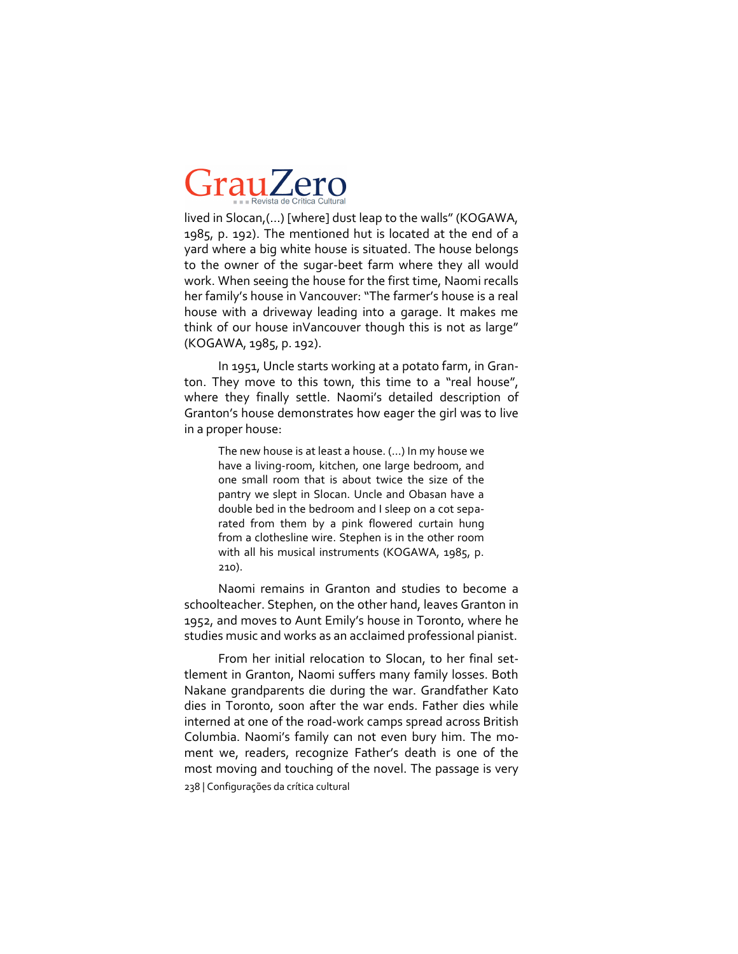lived in Slocan,(…) [where] dust leap to the walls" (KOGAWA, 1985, p. 192). The mentioned hut is located at the end of a yard where a big white house is situated. The house belongs to the owner of the sugar-beet farm where they all would work. When seeing the house for the first time, Naomi recalls her family's house in Vancouver: "The farmer's house is a real house with a driveway leading into a garage. It makes me think of our house inVancouver though this is not as large" (KOGAWA, 1985, p. 192).

In 1951, Uncle starts working at a potato farm, in Granton. They move to this town, this time to a "real house", where they finally settle. Naomi's detailed description of Granton's house demonstrates how eager the girl was to live in a proper house:

The new house is at least a house. (…) In my house we have a living-room, kitchen, one large bedroom, and one small room that is about twice the size of the pantry we slept in Slocan. Uncle and Obasan have a double bed in the bedroom and I sleep on a cot separated from them by a pink flowered curtain hung from a clothesline wire. Stephen is in the other room with all his musical instruments (KOGAWA, 1985, p. 210).

Naomi remains in Granton and studies to become a schoolteacher. Stephen, on the other hand, leaves Granton in 1952, and moves to Aunt Emily's house in Toronto, where he studies music and works as an acclaimed professional pianist.

238 | Configurações da crítica cultural From her initial relocation to Slocan, to her final settlement in Granton, Naomi suffers many family losses. Both Nakane grandparents die during the war. Grandfather Kato dies in Toronto, soon after the war ends. Father dies while interned at one of the road-work camps spread across British Columbia. Naomi's family can not even bury him. The moment we, readers, recognize Father's death is one of the most moving and touching of the novel. The passage is very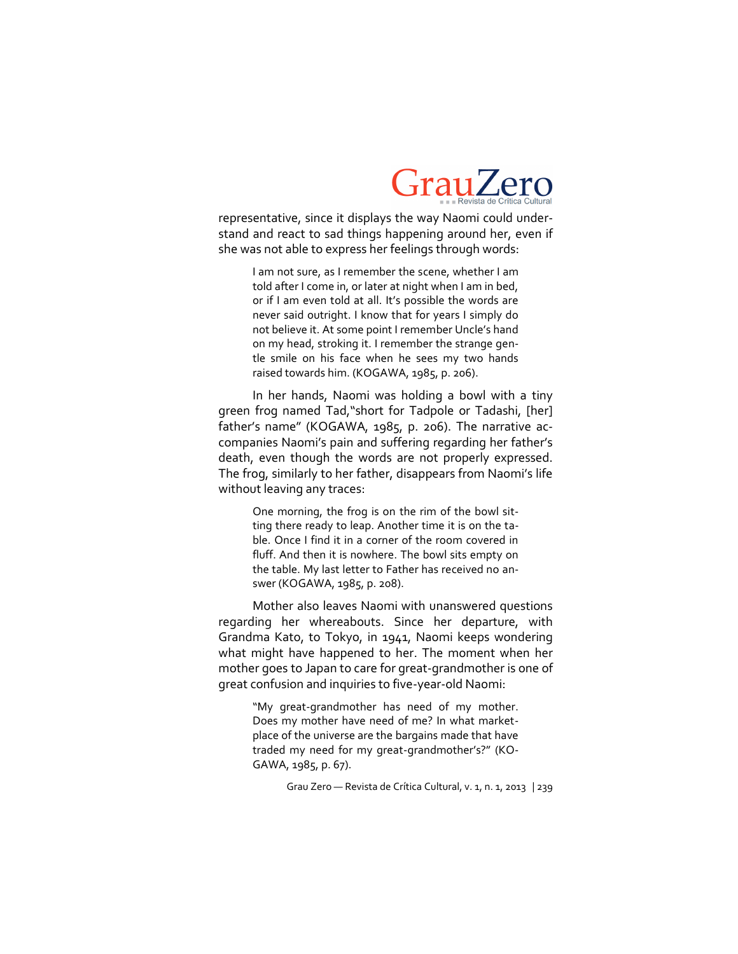

representative, since it displays the way Naomi could understand and react to sad things happening around her, even if she was not able to express her feelings through words:

> I am not sure, as I remember the scene, whether I am told after I come in, or later at night when I am in bed, or if I am even told at all. It's possible the words are never said outright. I know that for years I simply do not believe it. At some point I remember Uncle's hand on my head, stroking it. I remember the strange gentle smile on his face when he sees my two hands raised towards him. (KOGAWA, 1985, p. 206).

In her hands, Naomi was holding a bowl with a tiny green frog named Tad,"short for Tadpole or Tadashi, [her] father's name" (KOGAWA, 1985, p. 206). The narrative accompanies Naomi's pain and suffering regarding her father's death, even though the words are not properly expressed. The frog, similarly to her father, disappears from Naomi's life without leaving any traces:

One morning, the frog is on the rim of the bowl sitting there ready to leap. Another time it is on the table. Once I find it in a corner of the room covered in fluff. And then it is nowhere. The bowl sits empty on the table. My last letter to Father has received no answer (KOGAWA, 1985, p. 208).

Mother also leaves Naomi with unanswered questions regarding her whereabouts. Since her departure, with Grandma Kato, to Tokyo, in 1941, Naomi keeps wondering what might have happened to her. The moment when her mother goes to Japan to care for great-grandmother is one of great confusion and inquiries to five-year-old Naomi:

"My great-grandmother has need of my mother. Does my mother have need of me? In what marketplace of the universe are the bargains made that have traded my need for my great-grandmother's?" (KO-GAWA, 1985, p. 67).

Grau Zero — Revista de Crítica Cultural, v. 1, n. 1, 2013 | 239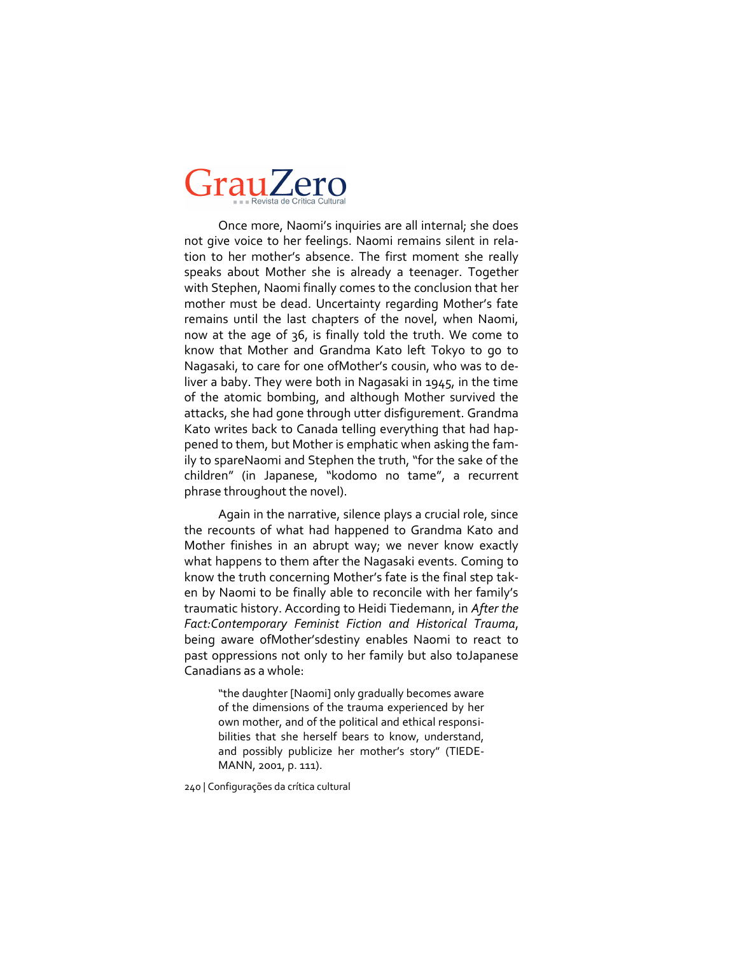Once more, Naomi's inquiries are all internal; she does not give voice to her feelings. Naomi remains silent in relation to her mother's absence. The first moment she really speaks about Mother she is already a teenager. Together with Stephen, Naomi finally comes to the conclusion that her mother must be dead. Uncertainty regarding Mother's fate remains until the last chapters of the novel, when Naomi, now at the age of 36, is finally told the truth. We come to know that Mother and Grandma Kato left Tokyo to go to Nagasaki, to care for one ofMother's cousin, who was to deliver a baby. They were both in Nagasaki in 1945, in the time of the atomic bombing, and although Mother survived the attacks, she had gone through utter disfigurement. Grandma Kato writes back to Canada telling everything that had happened to them, but Mother is emphatic when asking the family to spareNaomi and Stephen the truth, "for the sake of the children" (in Japanese, "kodomo no tame", a recurrent phrase throughout the novel).

Again in the narrative, silence plays a crucial role, since the recounts of what had happened to Grandma Kato and Mother finishes in an abrupt way; we never know exactly what happens to them after the Nagasaki events. Coming to know the truth concerning Mother's fate is the final step taken by Naomi to be finally able to reconcile with her family's traumatic history. According to Heidi Tiedemann, in *After the Fact:Contemporary Feminist Fiction and Historical Trauma*, being aware ofMother'sdestiny enables Naomi to react to past oppressions not only to her family but also toJapanese Canadians as a whole:

> "the daughter [Naomi] only gradually becomes aware of the dimensions of the trauma experienced by her own mother, and of the political and ethical responsibilities that she herself bears to know, understand, and possibly publicize her mother's story" (TIEDE-MANN, 2001, p. 111).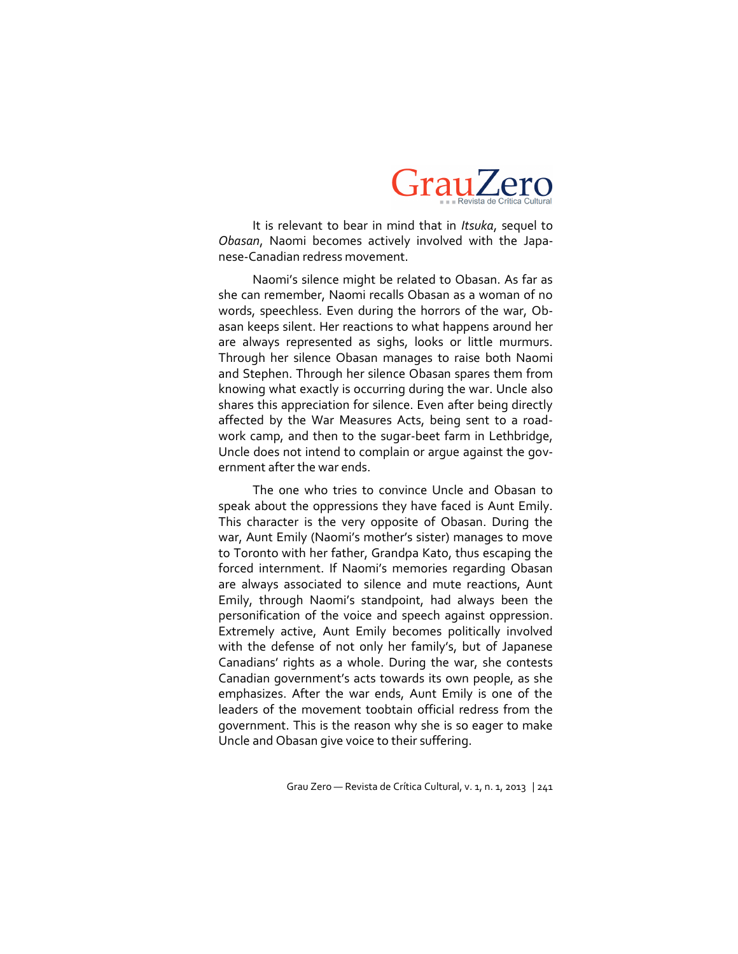

It is relevant to bear in mind that in *Itsuka*, sequel to *Obasan*, Naomi becomes actively involved with the Japanese-Canadian redress movement.

Naomi's silence might be related to Obasan. As far as she can remember, Naomi recalls Obasan as a woman of no words, speechless. Even during the horrors of the war, Obasan keeps silent. Her reactions to what happens around her are always represented as sighs, looks or little murmurs. Through her silence Obasan manages to raise both Naomi and Stephen. Through her silence Obasan spares them from knowing what exactly is occurring during the war. Uncle also shares this appreciation for silence. Even after being directly affected by the War Measures Acts, being sent to a roadwork camp, and then to the sugar-beet farm in Lethbridge, Uncle does not intend to complain or argue against the government after the war ends.

The one who tries to convince Uncle and Obasan to speak about the oppressions they have faced is Aunt Emily. This character is the very opposite of Obasan. During the war, Aunt Emily (Naomi's mother's sister) manages to move to Toronto with her father, Grandpa Kato, thus escaping the forced internment. If Naomi's memories regarding Obasan are always associated to silence and mute reactions, Aunt Emily, through Naomi's standpoint, had always been the personification of the voice and speech against oppression. Extremely active, Aunt Emily becomes politically involved with the defense of not only her family's, but of Japanese Canadians' rights as a whole. During the war, she contests Canadian government's acts towards its own people, as she emphasizes. After the war ends, Aunt Emily is one of the leaders of the movement toobtain official redress from the government. This is the reason why she is so eager to make Uncle and Obasan give voice to their suffering.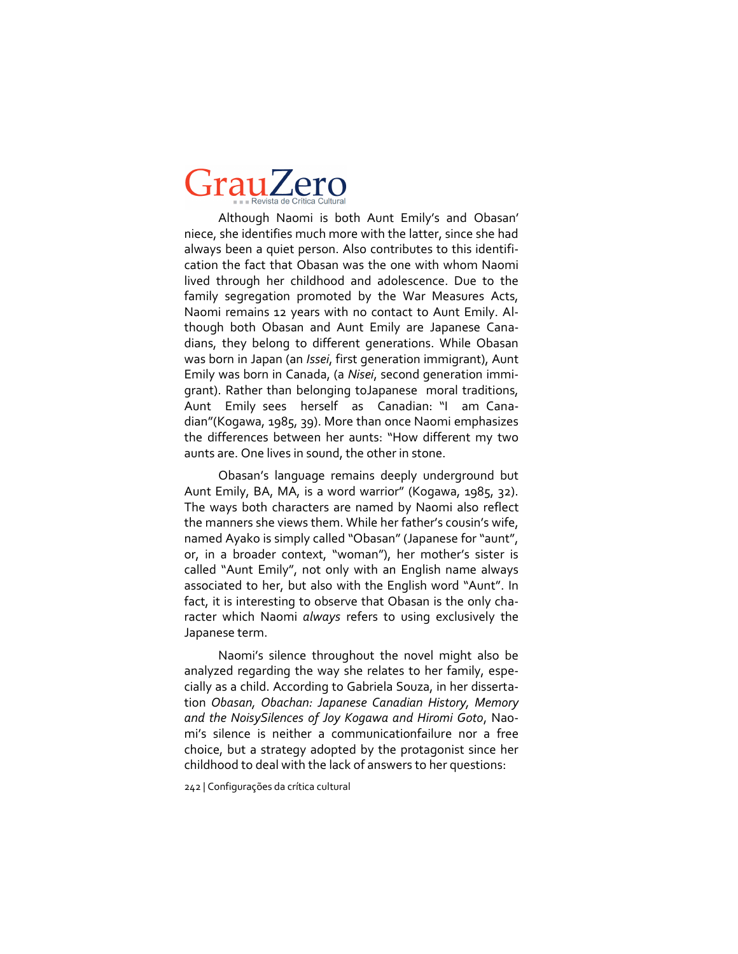Although Naomi is both Aunt Emily's and Obasan' niece, she identifies much more with the latter, since she had always been a quiet person. Also contributes to this identification the fact that Obasan was the one with whom Naomi lived through her childhood and adolescence. Due to the family segregation promoted by the War Measures Acts, Naomi remains 12 years with no contact to Aunt Emily. Although both Obasan and Aunt Emily are Japanese Canadians, they belong to different generations. While Obasan was born in Japan (an *Issei*, first generation immigrant), Aunt Emily was born in Canada, (a *Nisei*, second generation immigrant). Rather than belonging toJapanese moral traditions, Aunt Emily sees herself as Canadian: "I am Canadian"(Kogawa, 1985, 39). More than once Naomi emphasizes the differences between her aunts: "How different my two aunts are. One lives in sound, the other in stone.

Obasan's language remains deeply underground but Aunt Emily, BA, MA, is a word warrior" (Kogawa, 1985, 32). The ways both characters are named by Naomi also reflect the manners she views them. While her father's cousin's wife, named Ayako is simply called "Obasan" (Japanese for "aunt", or, in a broader context, "woman"), her mother's sister is called "Aunt Emily", not only with an English name always associated to her, but also with the English word "Aunt". In fact, it is interesting to observe that Obasan is the only character which Naomi *always* refers to using exclusively the Japanese term.

Naomi's silence throughout the novel might also be analyzed regarding the way she relates to her family, especially as a child. According to Gabriela Souza, in her dissertation *Obasan, Obachan: Japanese Canadian History, Memory and the NoisySilences of Joy Kogawa and Hiromi Goto*, Naomi's silence is neither a communicationfailure nor a free choice, but a strategy adopted by the protagonist since her childhood to deal with the lack of answers to her questions: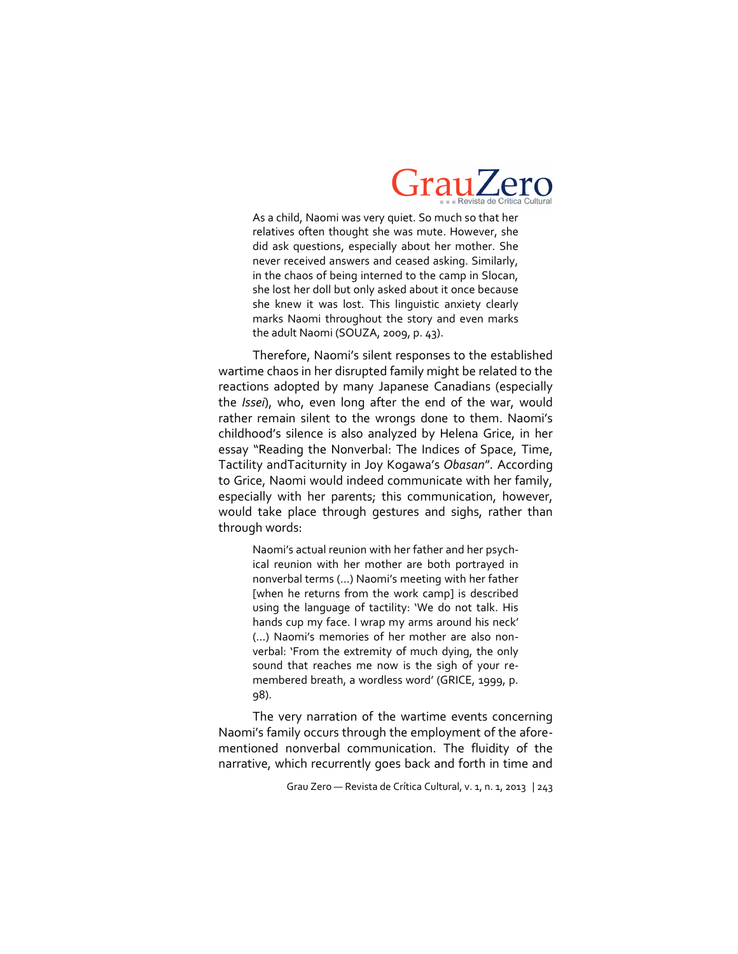

As a child, Naomi was very quiet. So much so that her relatives often thought she was mute. However, she did ask questions, especially about her mother. She never received answers and ceased asking. Similarly, in the chaos of being interned to the camp in Slocan, she lost her doll but only asked about it once because she knew it was lost. This linguistic anxiety clearly marks Naomi throughout the story and even marks the adult Naomi (SOUZA, 2009, p. 43).

Therefore, Naomi's silent responses to the established wartime chaos in her disrupted family might be related to the reactions adopted by many Japanese Canadians (especially the *Issei*), who, even long after the end of the war, would rather remain silent to the wrongs done to them. Naomi's childhood's silence is also analyzed by Helena Grice, in her essay "Reading the Nonverbal: The Indices of Space, Time, Tactility andTaciturnity in Joy Kogawa's *Obasan*"*.* According to Grice, Naomi would indeed communicate with her family, especially with her parents; this communication, however, would take place through gestures and sighs, rather than through words:

> Naomi's actual reunion with her father and her psychical reunion with her mother are both portrayed in nonverbal terms (…) Naomi's meeting with her father [when he returns from the work camp] is described using the language of tactility: 'We do not talk. His hands cup my face. I wrap my arms around his neck' (…) Naomi's memories of her mother are also nonverbal: 'From the extremity of much dying, the only sound that reaches me now is the sigh of your remembered breath, a wordless word' (GRICE, 1999, p. 98).

The very narration of the wartime events concerning Naomi's family occurs through the employment of the aforementioned nonverbal communication. The fluidity of the narrative, which recurrently goes back and forth in time and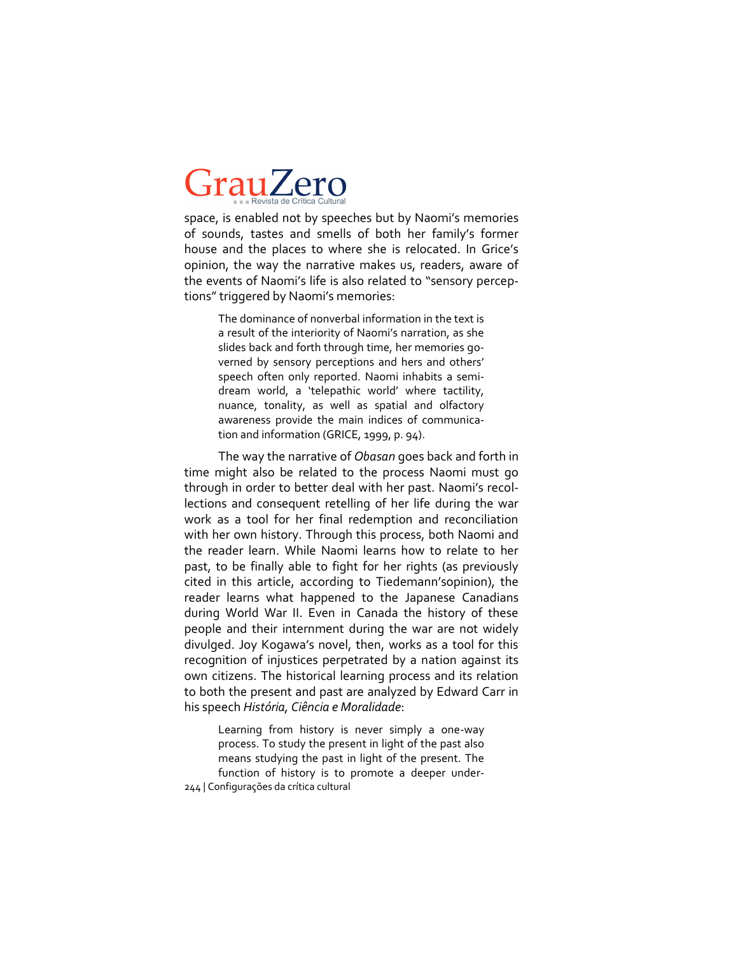space, is enabled not by speeches but by Naomi's memories of sounds, tastes and smells of both her family's former house and the places to where she is relocated. In Grice's opinion, the way the narrative makes us, readers, aware of the events of Naomi's life is also related to "sensory perceptions" triggered by Naomi's memories:

The dominance of nonverbal information in the text is a result of the interiority of Naomi's narration, as she slides back and forth through time, her memories governed by sensory perceptions and hers and others' speech often only reported. Naomi inhabits a semidream world, a 'telepathic world' where tactility, nuance, tonality, as well as spatial and olfactory awareness provide the main indices of communication and information (GRICE, 1999, p. 94).

The way the narrative of *Obasan* goes back and forth in time might also be related to the process Naomi must go through in order to better deal with her past. Naomi's recollections and consequent retelling of her life during the war work as a tool for her final redemption and reconciliation with her own history. Through this process, both Naomi and the reader learn. While Naomi learns how to relate to her past, to be finally able to fight for her rights (as previously cited in this article, according to Tiedemann'sopinion), the reader learns what happened to the Japanese Canadians during World War II. Even in Canada the history of these people and their internment during the war are not widely divulged. Joy Kogawa's novel, then, works as a tool for this recognition of injustices perpetrated by a nation against its own citizens. The historical learning process and its relation to both the present and past are analyzed by Edward Carr in his speech *História, Ciência e Moralidade*:

244 | Configurações da crítica cultural Learning from history is never simply a one-way process. To study the present in light of the past also means studying the past in light of the present. The function of history is to promote a deeper under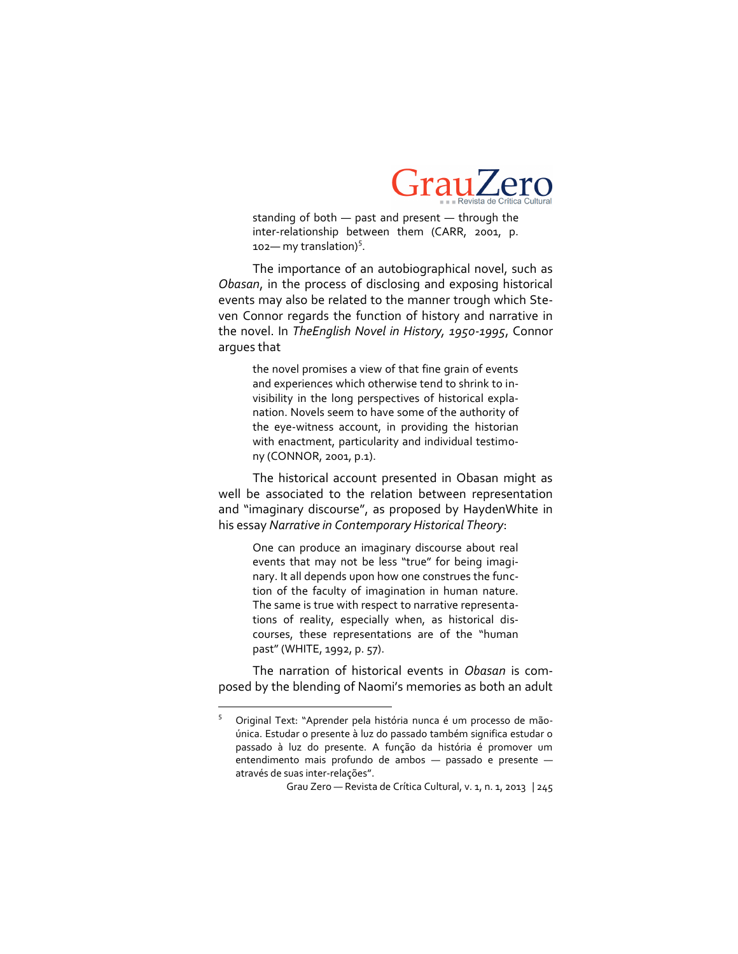

standing of both — past and present — through the inter-relationship between them (CARR, 2001, p.  $102$  my translation)<sup>5</sup>.

The importance of an autobiographical novel, such as *Obasan*, in the process of disclosing and exposing historical events may also be related to the manner trough which Steven Connor regards the function of history and narrative in the novel. In *TheEnglish Novel in History, 19501995*, Connor argues that

> the novel promises a view of that fine grain of events and experiences which otherwise tend to shrink to invisibility in the long perspectives of historical explanation. Novels seem to have some of the authority of the eye-witness account, in providing the historian with enactment, particularity and individual testimony (CONNOR, 2001, p.1).

The historical account presented in Obasan might as well be associated to the relation between representation and "imaginary discourse", as proposed by HaydenWhite in his essay *Narrative in Contemporary Historical Theory*:

One can produce an imaginary discourse about real events that may not be less "true" for being imaginary. It all depends upon how one construes the function of the faculty of imagination in human nature. The same is true with respect to narrative representations of reality, especially when, as historical discourses, these representations are of the "human past" (WHITE, 1992, p. 57).

The narration of historical events in *Obasan* is composed by the blending of Naomi's memories as both an adult

 $\overline{\phantom{a}}$ 

<sup>&</sup>lt;sup>5</sup> Original Text: "Aprender pela história nunca é um processo de mãoúnica. Estudar o presente à luz do passado também significa estudar o passado à luz do presente. A função da história é promover um entendimento mais profundo de ambos — passado e presente através de suas inter-relações".

Grau Zero — Revista de Crítica Cultural, v. 1, n. 1, 2013 | 245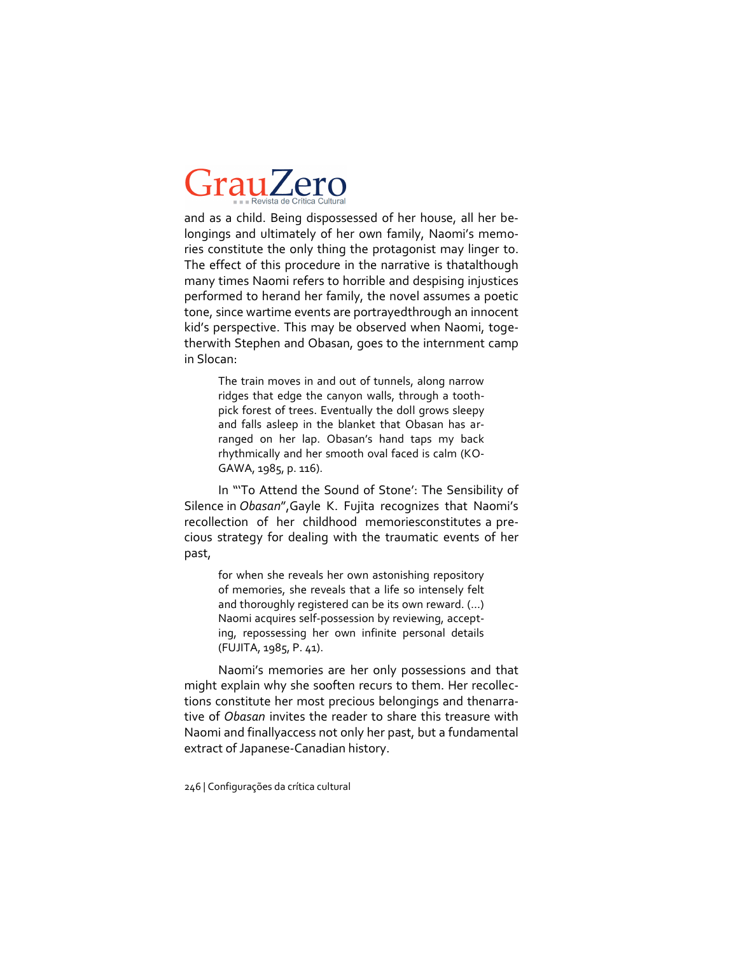and as a child. Being dispossessed of her house, all her belongings and ultimately of her own family, Naomi's memories constitute the only thing the protagonist may linger to. The effect of this procedure in the narrative is thatalthough many times Naomi refers to horrible and despising injustices performed to herand her family, the novel assumes a poetic tone, since wartime events are portrayedthrough an innocent kid's perspective. This may be observed when Naomi, togetherwith Stephen and Obasan, goes to the internment camp in Slocan:

> The train moves in and out of tunnels, along narrow ridges that edge the canyon walls, through a toothpick forest of trees. Eventually the doll grows sleepy and falls asleep in the blanket that Obasan has arranged on her lap. Obasan's hand taps my back rhythmically and her smooth oval faced is calm (KO-GAWA, 1985, p. 116).

In "'To Attend the Sound of Stone': The Sensibility of Silence in *Obasan*",Gayle K. Fujita recognizes that Naomi's recollection of her childhood memoriesconstitutes a precious strategy for dealing with the traumatic events of her past,

for when she reveals her own astonishing repository of memories, she reveals that a life so intensely felt and thoroughly registered can be its own reward. (…) Naomi acquires self-possession by reviewing, accepting, repossessing her own infinite personal details (FUJITA, 1985, P. 41).

Naomi's memories are her only possessions and that might explain why she sooften recurs to them. Her recollections constitute her most precious belongings and thenarrative of *Obasan* invites the reader to share this treasure with Naomi and finallyaccess not only her past, but a fundamental extract of Japanese-Canadian history.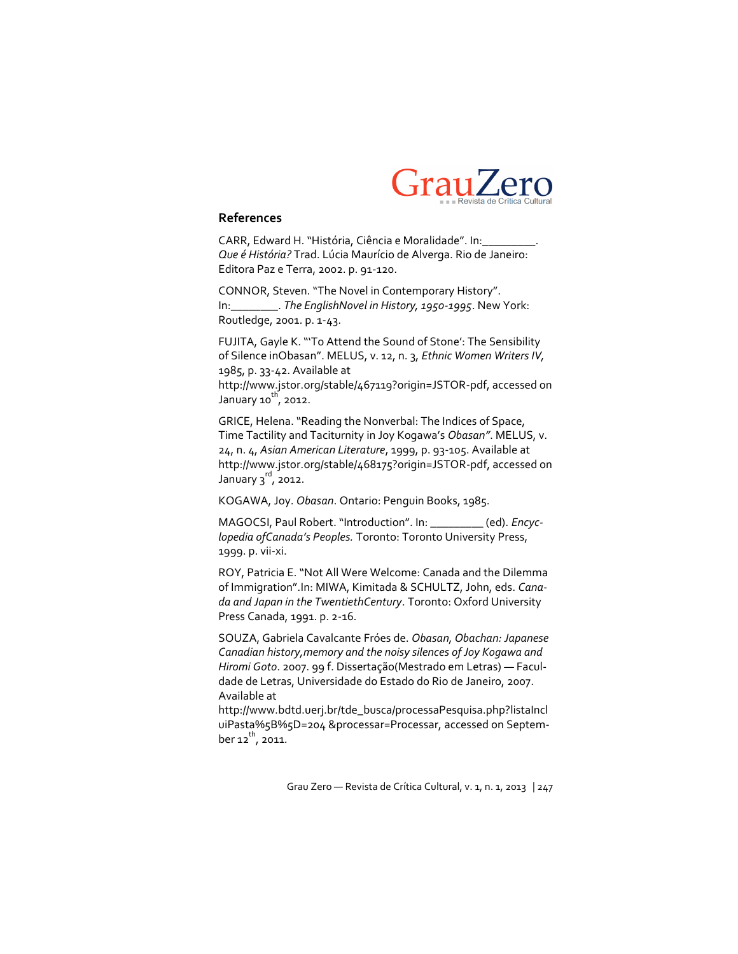

#### **References**

CARR, Edward H. "História, Ciência e Moralidade". In:\_\_\_\_\_\_\_\_\_. *Que é História?* Trad. Lúcia Maurício de Alverga. Rio de Janeiro: Editora Paz e Terra, 2002. p. 91-120.

CONNOR, Steven. "The Novel in Contemporary History". In:\_\_\_\_\_\_\_\_. *The EnglishNovel in History, 19501995*. New York: Routledge, 2001. p. 1-43.

FUJITA, Gayle K. "'To Attend the Sound of Stone': The Sensibility of Silence inObasan". MELUS, v. 12, n. 3, *Ethnic Women Writers IV,* 1985, p. 33-42. Available at http://www.jstor.org/stable/467119?origin=JSTOR-pdf, accessed on

January 10 $\overline{h}$ , 2012.

GRICE, Helena. "Reading the Nonverbal: The Indices of Space, Time Tactility and Taciturnity in Joy Kogawa's *Obasan"*. MELUS, v. 24, n. 4, Asian American Literature, 1999, p. 93-105. Available at http://www.jstor.org/stable/468175?origin=JSTOR-pdf, accessed on January 3<sup>rd</sup>, 2012.

KOGAWA, Joy. *Obasan*. Ontario: Penguin Books, 1985.

MAGOCSI, Paul Robert. "Introduction". In: \_\_\_\_\_\_\_\_\_ (ed). *Encyclopedia ofCanada's Peoples.* Toronto: Toronto University Press, 1999. p. vii-xi.

ROY, Patricia E. "Not All Were Welcome: Canada and the Dilemma of Immigration".In: MIWA, Kimitada & SCHULTZ, John, eds. *Canada and Japan in the TwentiethCentury*. Toronto: Oxford University Press Canada, 1991. p. 2-16.

SOUZA, Gabriela Cavalcante Fróes de. *Obasan, Obachan: Japanese Canadian history,memory and the noisy silences of Joy Kogawa and Hiromi Goto*. 2007. 99 f. Dissertação(Mestrado em Letras) — Faculdade de Letras, Universidade do Estado do Rio de Janeiro, 2007. Available at

http://www.bdtd.uerj.br/tde\_busca/processaPesquisa.php?listaIncl uiPasta%5B%5D=204 &processar=Processar, accessed on September 12<sup>th</sup>, 2011.

Grau Zero — Revista de Crítica Cultural, v. 1, n. 1, 2013 | 247